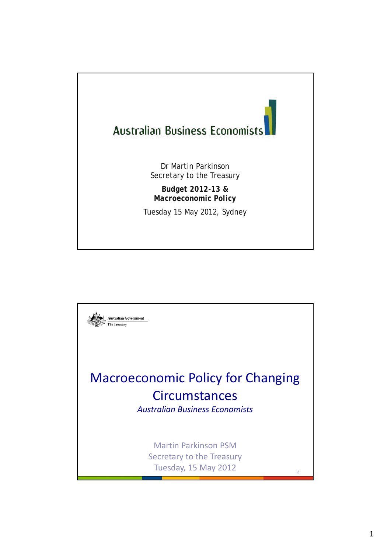## Australian Business Economists Dr Martin Parkinson Secretary to the Treasury *Budget 2012-13 & Macroeconomic Policy* Tuesday 15 May 2012, Sydney

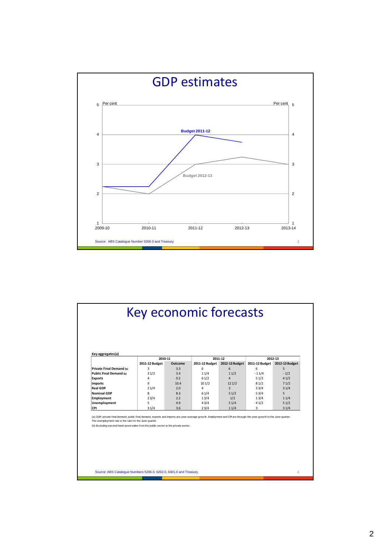

|                                                                                                                                                                                                                                                                                                                          | <b>Key economic forecasts</b> |         |                |                |                |                |
|--------------------------------------------------------------------------------------------------------------------------------------------------------------------------------------------------------------------------------------------------------------------------------------------------------------------------|-------------------------------|---------|----------------|----------------|----------------|----------------|
| Key aggregates(a)                                                                                                                                                                                                                                                                                                        | 2010-11                       |         | 2011-12        |                | 2012-13        |                |
|                                                                                                                                                                                                                                                                                                                          | 2011-12 Budget                | Outcome | 2011-12 Budget | 2012-13 Budget | 2011-12 Budget | 2012-13 Budget |
| Private Final Demand (b)                                                                                                                                                                                                                                                                                                 | 3                             | 3.3     | 6              | 6              | 6              | 5              |
| Public Final Demand (b)                                                                                                                                                                                                                                                                                                  | 31/2                          | 3.4     | 11/4           | 11/2           | $-11/4$        | $-1/2$         |
| <b>Exports</b>                                                                                                                                                                                                                                                                                                           | 4                             | 0.2     | 61/2           | $\overline{4}$ | 51/2           | 41/2           |
| Imports                                                                                                                                                                                                                                                                                                                  | 9                             | 10.4    | 101/2          | 121/2          | 81/2           | 71/2           |
| <b>Real GDP</b>                                                                                                                                                                                                                                                                                                          | 21/4                          | 2.0     | 4              | $\overline{3}$ | 33/4           | 31/4           |
| Nominal GDP                                                                                                                                                                                                                                                                                                              | 8                             | 8.3     | 61/4           | 51/2           | 53/4           | 5              |
| Employment                                                                                                                                                                                                                                                                                                               | 23/4                          | 2.2     | 13/4           | 1/2            | 13/4           | 11/4           |
| Unemployment                                                                                                                                                                                                                                                                                                             | 5                             | 4.9     | 43/4           | 51/4           | 41/2           | 51/2           |
| CPI                                                                                                                                                                                                                                                                                                                      | 31/4                          | 3.6     | 23/4           | 11/4           | 3              | 31/4           |
| (a) GDP, private final demand, public final demand, exports and imports are year-average grow th. Employment and CPI are through-the-year grow th to the June quarter.<br>The unemployment rate is the rate for the June quarter.<br>(b) Excluding second-hand asset sales from the public sector to the private sector. |                               |         |                |                |                |                |

Source: ABS Catalogue Numbers 5206.0, 6202.0, 6401.0 and Treasury.

Ŧ

4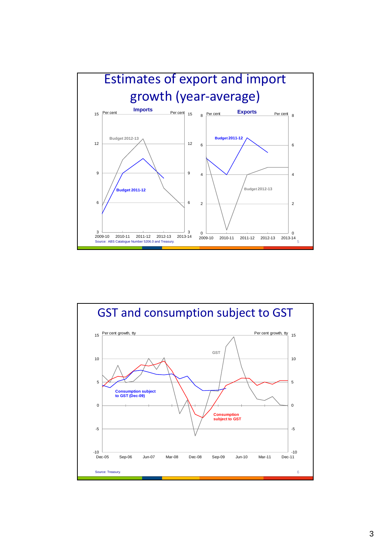

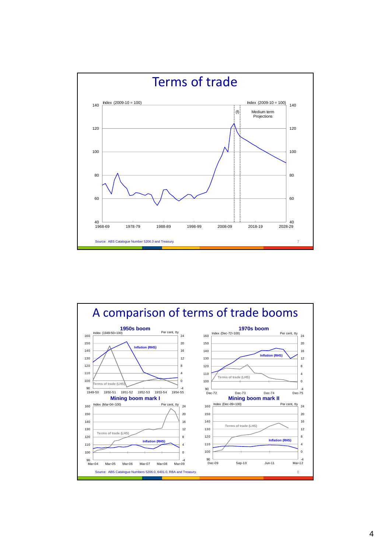

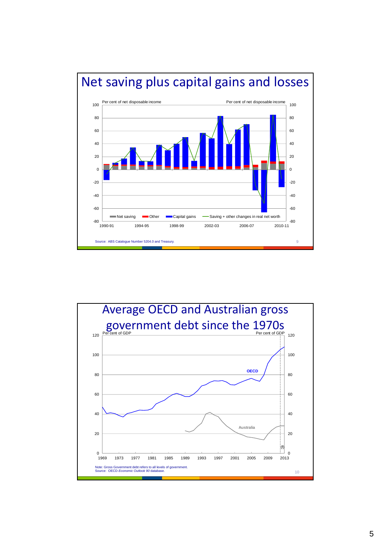